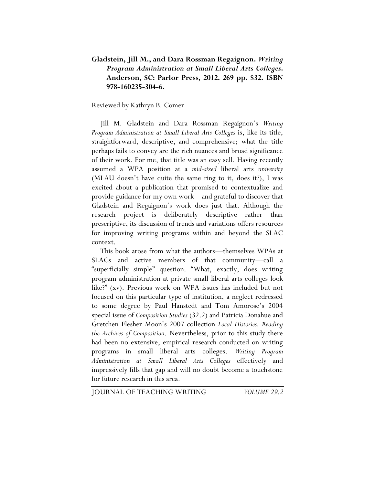### **Gladstein, Jill M., and Dara Rossman Regaignon.** *Writing Program Administration at Small Liberal Arts Colleges***. Anderson, SC: Parlor Press, 2012. 269 pp. \$32. ISBN 978-160235-304-6.**

Reviewed by Kathryn B. Comer

Jill M. Gladstein and Dara Rossman Regaignon's *Writing Program Administration at Small Liberal Arts Colleges* is, like its title, straightforward, descriptive, and comprehensive; what the title perhaps fails to convey are the rich nuances and broad significance of their work. For me, that title was an easy sell. Having recently assumed a WPA position at a *mid-sized* liberal arts *university* (MLAU doesn't have quite the same ring to it, does it?), I was excited about a publication that promised to contextualize and provide guidance for my own work—and grateful to discover that Gladstein and Regaignon's work does just that. Although the research project is deliberately descriptive rather than prescriptive, its discussion of trends and variations offers resources for improving writing programs within and beyond the SLAC context.

This book arose from what the authors—themselves WPAs at SLACs and active members of that community—call a "superficially simple" question: "What, exactly, does writing program administration at private small liberal arts colleges look like?" (xv). Previous work on WPA issues has included but not focused on this particular type of institution, a neglect redressed to some degree by Paul Hanstedt and Tom Amorose's 2004 special issue of *Composition Studies* (32.2) and Patricia Donahue and Gretchen Flesher Moon's 2007 collection *Local Histories: Reading the Archives of Composition*. Nevertheless, prior to this study there had been no extensive, empirical research conducted on writing programs in small liberal arts colleges. *Writing Program Administration at Small Liberal Arts Colleges* effectively and impressively fills that gap and will no doubt become a touchstone for future research in this area.

JOURNAL OF TEACHING WRITING *VOLUME 29.2*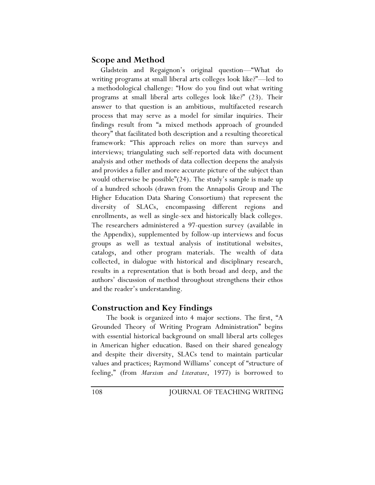# **Scope and Method**

Gladstein and Regaignon's original question—"What do writing programs at small liberal arts colleges look like?"—led to a methodological challenge: "How do you find out what writing programs at small liberal arts colleges look like?" (23). Their answer to that question is an ambitious, multifaceted research process that may serve as a model for similar inquiries. Their findings result from "a mixed methods approach of grounded theory" that facilitated both description and a resulting theoretical framework: "This approach relies on more than surveys and interviews; triangulating such self-reported data with document analysis and other methods of data collection deepens the analysis and provides a fuller and more accurate picture of the subject than would otherwise be possible"(24). The study's sample is made up of a hundred schools (drawn from the Annapolis Group and The Higher Education Data Sharing Consortium) that represent the diversity of SLACs, encompassing different regions and enrollments, as well as single-sex and historically black colleges. The researchers administered a 97-question survey (available in the Appendix), supplemented by follow-up interviews and focus groups as well as textual analysis of institutional websites, catalogs, and other program materials. The wealth of data collected, in dialogue with historical and disciplinary research, results in a representation that is both broad and deep, and the authors' discussion of method throughout strengthens their ethos and the reader's understanding.

# **Construction and Key Findings**

The book is organized into 4 major sections. The first, "A Grounded Theory of Writing Program Administration" begins with essential historical background on small liberal arts colleges in American higher education. Based on their shared genealogy and despite their diversity, SLACs tend to maintain particular values and practices; Raymond Williams' concept of "structure of feeling," (from *Marxism and Literature*, 1977) is borrowed to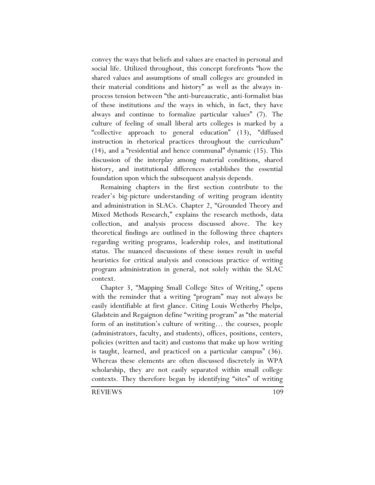convey the ways that beliefs and values are enacted in personal and social life. Utilized throughout, this concept forefronts "how the shared values and assumptions of small colleges are grounded in their material conditions and history" as well as the always inprocess tension between "the anti-bureaucratic, anti-formalist bias of these institutions *and* the ways in which, in fact, they have always and continue to formalize particular values" (7). The culture of feeling of small liberal arts colleges is marked by a "collective approach to general education" (13), "diffused instruction in rhetorical practices throughout the curriculum" (14), and a "residential and hence communal" dynamic (15). This discussion of the interplay among material conditions, shared history, and institutional differences establishes the essential foundation upon which the subsequent analysis depends.

Remaining chapters in the first section contribute to the reader's big-picture understanding of writing program identity and administration in SLACs. Chapter 2, "Grounded Theory and Mixed Methods Research," explains the research methods, data collection, and analysis process discussed above. The key theoretical findings are outlined in the following three chapters regarding writing programs, leadership roles, and institutional status. The nuanced discussions of these issues result in useful heuristics for critical analysis and conscious practice of writing program administration in general, not solely within the SLAC context.

Chapter 3, "Mapping Small College Sites of Writing," opens with the reminder that a writing "program" may not always be easily identifiable at first glance. Citing Louis Wetherby Phelps, Gladstein and Regaignon define "writing program" as "the material form of an institution's culture of writing… the courses, people (administrators, faculty, and students), offices, positions, centers, policies (written and tacit) and customs that make up how writing is taught, learned, and practiced on a particular campus" (36). Whereas these elements are often discussed discretely in WPA scholarship, they are not easily separated within small college contexts. They therefore began by identifying "sites" of writing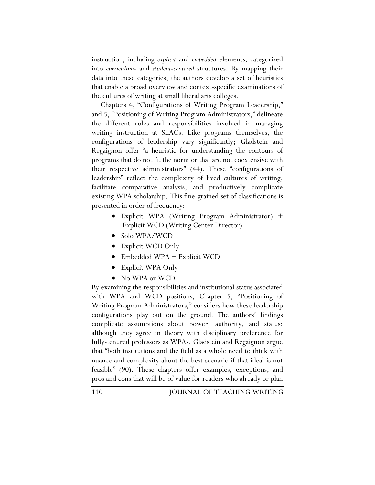instruction, including *explicit* and *embedded* elements, categorized into *curriculum-* and *student-centered* structures. By mapping their data into these categories, the authors develop a set of heuristics that enable a broad overview and context-specific examinations of the cultures of writing at small liberal arts colleges.

Chapters 4, "Configurations of Writing Program Leadership," and 5, "Positioning of Writing Program Administrators," delineate the different roles and responsibilities involved in managing writing instruction at SLACs. Like programs themselves, the configurations of leadership vary significantly; Gladstein and Regaignon offer "a heuristic for understanding the contours of programs that do not fit the norm or that are not coextensive with their respective administrators" (44). These "configurations of leadership" reflect the complexity of lived cultures of writing, facilitate comparative analysis, and productively complicate existing WPA scholarship. This fine-grained set of classifications is presented in order of frequency:

- Explicit WPA (Writing Program Administrator) + Explicit WCD (Writing Center Director)
- Solo WPA/WCD
- Explicit WCD Only
- Embedded WPA + Explicit WCD
- Explicit WPA Only
- No WPA or WCD

By examining the responsibilities and institutional status associated with WPA and WCD positions, Chapter 5, "Positioning of Writing Program Administrators," considers how these leadership configurations play out on the ground. The authors' findings complicate assumptions about power, authority, and status; although they agree in theory with disciplinary preference for fully-tenured professors as WPAs, Gladstein and Regaignon argue that "both institutions and the field as a whole need to think with nuance and complexity about the best scenario if that ideal is not feasible" (90). These chapters offer examples, exceptions, and pros and cons that will be of value for readers who already or plan

110 JOURNAL OF TEACHING WRITING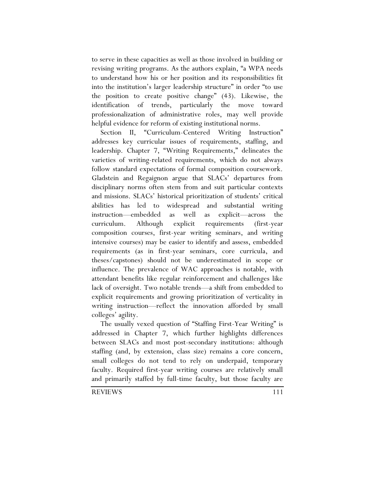to serve in these capacities as well as those involved in building or revising writing programs. As the authors explain, "a WPA needs to understand how his or her position and its responsibilities fit into the institution's larger leadership structure" in order "to use the position to create positive change" (43). Likewise, the identification of trends, particularly the move toward professionalization of administrative roles, may well provide helpful evidence for reform of existing institutional norms.

Section II, "Curriculum-Centered Writing Instruction" addresses key curricular issues of requirements, staffing, and leadership. Chapter 7, "Writing Requirements," delineates the varieties of writing-related requirements, which do not always follow standard expectations of formal composition coursework. Gladstein and Regaignon argue that SLACs' departures from disciplinary norms often stem from and suit particular contexts and missions. SLACs' historical prioritization of students' critical abilities has led to widespread and substantial writing instruction—embedded as well as explicit—across the curriculum. Although explicit requirements (first-year composition courses, first-year writing seminars, and writing intensive courses) may be easier to identify and assess, embedded requirements (as in first-year seminars, core curricula, and theses/capstones) should not be underestimated in scope or influence. The prevalence of WAC approaches is notable, with attendant benefits like regular reinforcement and challenges like lack of oversight. Two notable trends—a shift from embedded to explicit requirements and growing prioritization of verticality in writing instruction—reflect the innovation afforded by small colleges' agility.

The usually vexed question of "Staffing First-Year Writing" is addressed in Chapter 7, which further highlights differences between SLACs and most post-secondary institutions: although staffing (and, by extension, class size) remains a core concern, small colleges do not tend to rely on underpaid, temporary faculty. Required first-year writing courses are relatively small and primarily staffed by full-time faculty, but those faculty are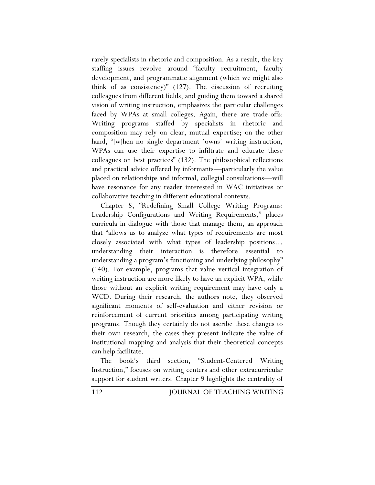rarely specialists in rhetoric and composition. As a result, the key staffing issues revolve around "faculty recruitment, faculty development, and programmatic alignment (which we might also think of as consistency)" (127). The discussion of recruiting colleagues from different fields, and guiding them toward a shared vision of writing instruction, emphasizes the particular challenges faced by WPAs at small colleges. Again, there are trade-offs: Writing programs staffed by specialists in rhetoric and composition may rely on clear, mutual expertise; on the other hand, "[w]hen no single department 'owns' writing instruction, WPAs can use their expertise to infiltrate and educate these colleagues on best practices" (132). The philosophical reflections and practical advice offered by informants—particularly the value placed on relationships and informal, collegial consultations—will have resonance for any reader interested in WAC initiatives or collaborative teaching in different educational contexts.

Chapter 8, "Redefining Small College Writing Programs: Leadership Configurations and Writing Requirements," places curricula in dialogue with those that manage them, an approach that "allows us to analyze what types of requirements are most closely associated with what types of leadership positions… understanding their interaction is therefore essential to understanding a program's functioning and underlying philosophy" (140). For example, programs that value vertical integration of writing instruction are more likely to have an explicit WPA, while those without an explicit writing requirement may have only a WCD. During their research, the authors note, they observed significant moments of self-evaluation and either revision or reinforcement of current priorities among participating writing programs. Though they certainly do not ascribe these changes to their own research, the cases they present indicate the value of institutional mapping and analysis that their theoretical concepts can help facilitate.

The book's third section, "Student-Centered Writing Instruction," focuses on writing centers and other extracurricular support for student writers. Chapter 9 highlights the centrality of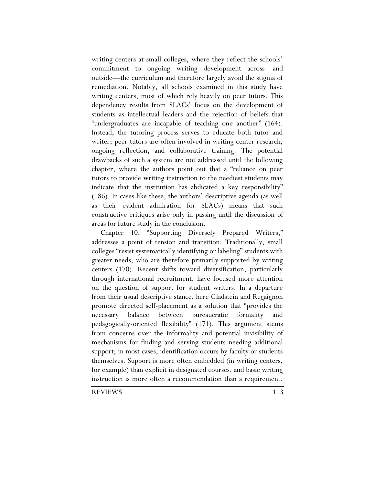writing centers at small colleges, where they reflect the schools' commitment to ongoing writing development across—and outside—the curriculum and therefore largely avoid the stigma of remediation. Notably, all schools examined in this study have writing centers, most of which rely heavily on peer tutors. This dependency results from SLACs' focus on the development of students as intellectual leaders and the rejection of beliefs that "undergraduates are incapable of teaching one another" (164). Instead, the tutoring process serves to educate both tutor and writer; peer tutors are often involved in writing center research, ongoing reflection, and collaborative training. The potential drawbacks of such a system are not addressed until the following chapter, where the authors point out that a "reliance on peer tutors to provide writing instruction to the neediest students may indicate that the institution has abdicated a key responsibility" (186). In cases like these, the authors' descriptive agenda (as well as their evident admiration for SLACs) means that such constructive critiques arise only in passing until the discussion of areas for future study in the conclusion.

Chapter 10, "Supporting Diversely Prepared Writers," addresses a point of tension and transition: Traditionally, small colleges "resist systematically identifying or labeling" students with greater needs, who are therefore primarily supported by writing centers (170). Recent shifts toward diversification, particularly through international recruitment, have focused more attention on the question of support for student writers. In a departure from their usual descriptive stance, here Gladstein and Regaignon promote directed self-placement as a solution that "provides the necessary balance between bureaucratic formality and pedagogically-oriented flexibility" (171). This argument stems from concerns over the informality and potential invisibility of mechanisms for finding and serving students needing additional support; in most cases, identification occurs by faculty or students themselves. Support is more often embedded (in writing centers, for example) than explicit in designated courses, and basic writing instruction is more often a recommendation than a requirement.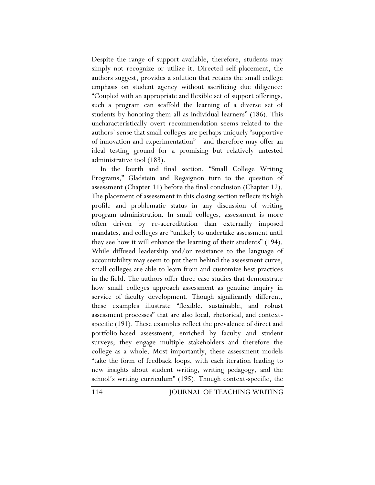Despite the range of support available, therefore, students may simply not recognize or utilize it. Directed self-placement, the authors suggest, provides a solution that retains the small college emphasis on student agency without sacrificing due diligence: "Coupled with an appropriate and flexible set of support offerings, such a program can scaffold the learning of a diverse set of students by honoring them all as individual learners" (186). This uncharacteristically overt recommendation seems related to the authors' sense that small colleges are perhaps uniquely "supportive of innovation and experimentation"—and therefore may offer an ideal testing ground for a promising but relatively untested administrative tool (183).

In the fourth and final section, "Small College Writing Programs," Gladstein and Regaignon turn to the question of assessment (Chapter 11) before the final conclusion (Chapter 12). The placement of assessment in this closing section reflects its high profile and problematic status in any discussion of writing program administration. In small colleges, assessment is more often driven by re-accreditation than externally imposed mandates, and colleges are "unlikely to undertake assessment until they see how it will enhance the learning of their students" (194). While diffused leadership and/or resistance to the language of accountability may seem to put them behind the assessment curve, small colleges are able to learn from and customize best practices in the field. The authors offer three case studies that demonstrate how small colleges approach assessment as genuine inquiry in service of faculty development. Though significantly different, these examples illustrate "flexible, sustainable, and robust assessment processes" that are also local, rhetorical, and contextspecific (191). These examples reflect the prevalence of direct and portfolio-based assessment, enriched by faculty and student surveys; they engage multiple stakeholders and therefore the college as a whole. Most importantly, these assessment models "take the form of feedback loops, with each iteration leading to new insights about student writing, writing pedagogy, and the school's writing curriculum" (195). Though context-specific, the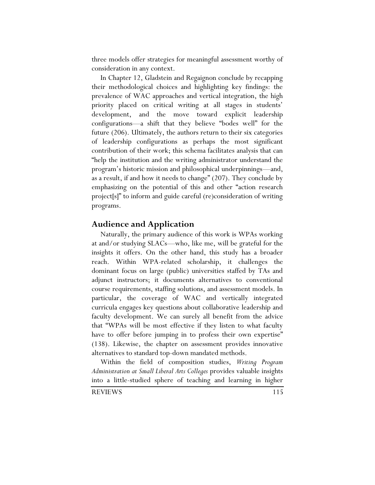three models offer strategies for meaningful assessment worthy of consideration in any context.

In Chapter 12, Gladstein and Regaignon conclude by recapping their methodological choices and highlighting key findings: the prevalence of WAC approaches and vertical integration, the high priority placed on critical writing at all stages in students' development, and the move toward explicit leadership configurations—a shift that they believe "bodes well" for the future (206). Ultimately, the authors return to their six categories of leadership configurations as perhaps the most significant contribution of their work; this schema facilitates analysis that can "help the institution and the writing administrator understand the program's historic mission and philosophical underpinnings—and, as a result, if and how it needs to change" (207). They conclude by emphasizing on the potential of this and other "action research project[s]" to inform and guide careful (re)consideration of writing programs.

#### **Audience and Application**

Naturally, the primary audience of this work is WPAs working at and/or studying SLACs—who, like me, will be grateful for the insights it offers. On the other hand, this study has a broader reach. Within WPA-related scholarship, it challenges the dominant focus on large (public) universities staffed by TAs and adjunct instructors; it documents alternatives to conventional course requirements, staffing solutions, and assessment models. In particular, the coverage of WAC and vertically integrated curricula engages key questions about collaborative leadership and faculty development. We can surely all benefit from the advice that "WPAs will be most effective if they listen to what faculty have to offer before jumping in to profess their own expertise" (138). Likewise, the chapter on assessment provides innovative alternatives to standard top-down mandated methods.

Within the field of composition studies, *Writing Program Administration at Small Liberal Arts Colleges* provides valuable insights into a little-studied sphere of teaching and learning in higher